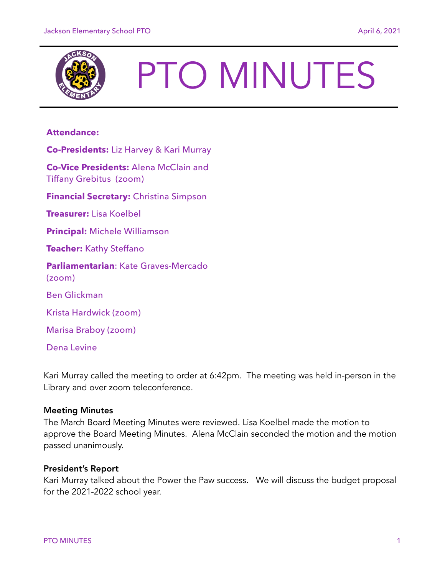

# PTO MINUTES

# **Attendance:**

**Co-Presidents:** Liz Harvey & Kari Murray

**Co-Vice Presidents:** Alena McClain and Tiffany Grebitus (zoom)

**Financial Secretary:** Christina Simpson

**Treasurer:** Lisa Koelbel

**Principal:** Michele Williamson

**Teacher:** Kathy Steffano

**Parliamentarian**: Kate Graves-Mercado (zoom)

Ben Glickman

Krista Hardwick (zoom)

Marisa Braboy (zoom)

Dena Levine

Kari Murray called the meeting to order at 6:42pm. The meeting was held in-person in the Library and over zoom teleconference.

# Meeting Minutes

The March Board Meeting Minutes were reviewed. Lisa Koelbel made the motion to approve the Board Meeting Minutes. Alena McClain seconded the motion and the motion passed unanimously.

# President's Report

Kari Murray talked about the Power the Paw success. We will discuss the budget proposal for the 2021-2022 school year.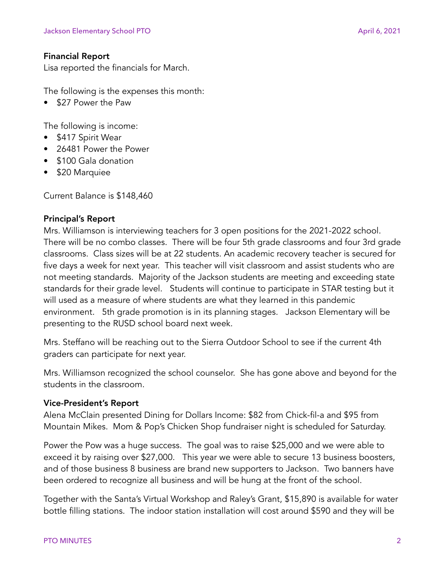# Financial Report

Lisa reported the financials for March.

The following is the expenses this month:

• \$27 Power the Paw

The following is income:

- \$417 Spirit Wear
- 26481 Power the Power
- \$100 Gala donation
- \$20 Marquiee

Current Balance is \$148,460

### Principal's Report

Mrs. Williamson is interviewing teachers for 3 open positions for the 2021-2022 school. There will be no combo classes. There will be four 5th grade classrooms and four 3rd grade classrooms. Class sizes will be at 22 students. An academic recovery teacher is secured for five days a week for next year. This teacher will visit classroom and assist students who are not meeting standards. Majority of the Jackson students are meeting and exceeding state standards for their grade level. Students will continue to participate in STAR testing but it will used as a measure of where students are what they learned in this pandemic environment. 5th grade promotion is in its planning stages. Jackson Elementary will be presenting to the RUSD school board next week.

Mrs. Steffano will be reaching out to the Sierra Outdoor School to see if the current 4th graders can participate for next year.

Mrs. Williamson recognized the school counselor. She has gone above and beyond for the students in the classroom.

# Vice-President's Report

Alena McClain presented Dining for Dollars Income: \$82 from Chick-fil-a and \$95 from Mountain Mikes. Mom & Pop's Chicken Shop fundraiser night is scheduled for Saturday.

Power the Pow was a huge success. The goal was to raise \$25,000 and we were able to exceed it by raising over \$27,000. This year we were able to secure 13 business boosters, and of those business 8 business are brand new supporters to Jackson. Two banners have been ordered to recognize all business and will be hung at the front of the school.

Together with the Santa's Virtual Workshop and Raley's Grant, \$15,890 is available for water bottle filling stations. The indoor station installation will cost around \$590 and they will be